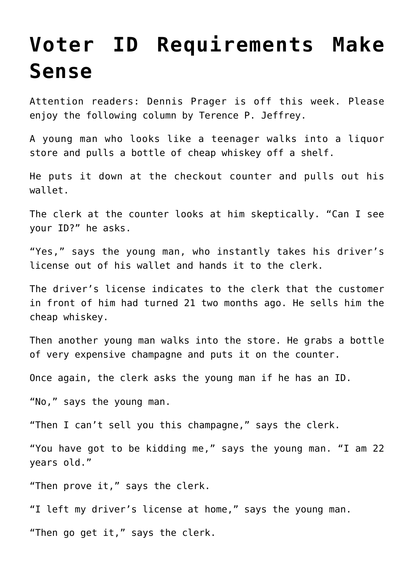## **[Voter ID Requirements Make](https://bernardgoldberg.com/voter-id-requirements-make-sense/) [Sense](https://bernardgoldberg.com/voter-id-requirements-make-sense/)**

Attention readers: Dennis Prager is off this week. Please enjoy the following column by Terence P. Jeffrey.

A young man who looks like a teenager walks into a liquor store and pulls a bottle of cheap whiskey off a shelf.

He puts it down at the checkout counter and pulls out his wallet.

The clerk at the counter looks at him skeptically. "Can I see your ID?" he asks.

"Yes," says the young man, who instantly takes his driver's license out of his wallet and hands it to the clerk.

The driver's license indicates to the clerk that the customer in front of him had turned 21 two months ago. He sells him the cheap whiskey.

Then another young man walks into the store. He grabs a bottle of very expensive champagne and puts it on the counter.

Once again, the clerk asks the young man if he has an ID.

"No," says the young man.

"Then I can't sell you this champagne," says the clerk.

"You have got to be kidding me," says the young man. "I am 22 years old."

"Then prove it," says the clerk.

"I left my driver's license at home," says the young man.

"Then go get it," says the clerk.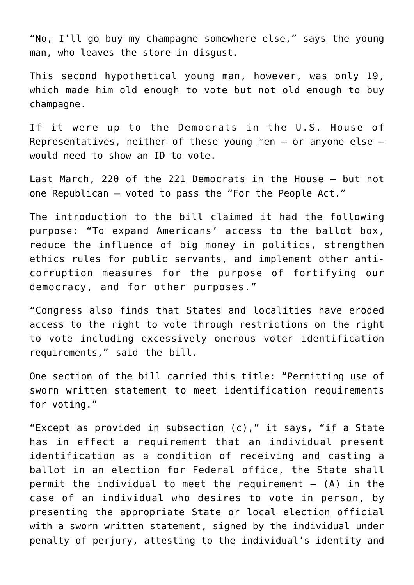"No, I'll go buy my champagne somewhere else," says the young man, who leaves the store in disgust.

This second hypothetical young man, however, was only 19, which made him old enough to vote but not old enough to buy champagne.

If it were up to the Democrats in the U.S. House of Representatives, neither of these young men — or anyone else would need to show an ID to vote.

Last March, 220 of the 221 Democrats in the House — but not one Republican — voted to pass the "For the People Act."

The introduction to the bill claimed it had the following purpose: "To expand Americans' access to the ballot box, reduce the influence of big money in politics, strengthen ethics rules for public servants, and implement other anticorruption measures for the purpose of fortifying our democracy, and for other purposes."

"Congress also finds that States and localities have eroded access to the right to vote through restrictions on the right to vote including excessively onerous voter identification requirements," said the bill.

One section of the bill carried this title: "Permitting use of sworn written statement to meet identification requirements for voting."

"Except as provided in subsection (c)," it says, "if a State has in effect a requirement that an individual present identification as a condition of receiving and casting a ballot in an election for Federal office, the State shall permit the individual to meet the requirement  $-$  (A) in the case of an individual who desires to vote in person, by presenting the appropriate State or local election official with a sworn written statement, signed by the individual under penalty of perjury, attesting to the individual's identity and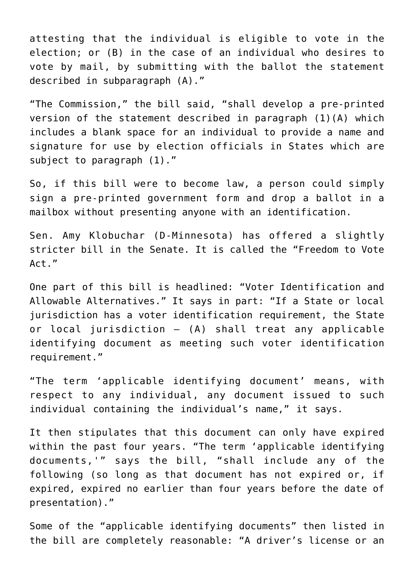attesting that the individual is eligible to vote in the election; or (B) in the case of an individual who desires to vote by mail, by submitting with the ballot the statement described in subparagraph (A)."

"The Commission," the bill said, "shall develop a pre-printed version of the statement described in paragraph (1)(A) which includes a blank space for an individual to provide a name and signature for use by election officials in States which are subject to paragraph (1)."

So, if this bill were to become law, a person could simply sign a pre-printed government form and drop a ballot in a mailbox without presenting anyone with an identification.

Sen. Amy Klobuchar (D-Minnesota) has offered a slightly stricter bill in the Senate. It is called the "Freedom to Vote Act."

One part of this bill is headlined: "Voter Identification and Allowable Alternatives." It says in part: "If a State or local jurisdiction has a voter identification requirement, the State or local jurisdiction — (A) shall treat any applicable identifying document as meeting such voter identification requirement."

"The term 'applicable identifying document' means, with respect to any individual, any document issued to such individual containing the individual's name," it says.

It then stipulates that this document can only have expired within the past four years. "The term 'applicable identifying documents,'" says the bill, "shall include any of the following (so long as that document has not expired or, if expired, expired no earlier than four years before the date of presentation)."

Some of the "applicable identifying documents" then listed in the bill are completely reasonable: "A driver's license or an